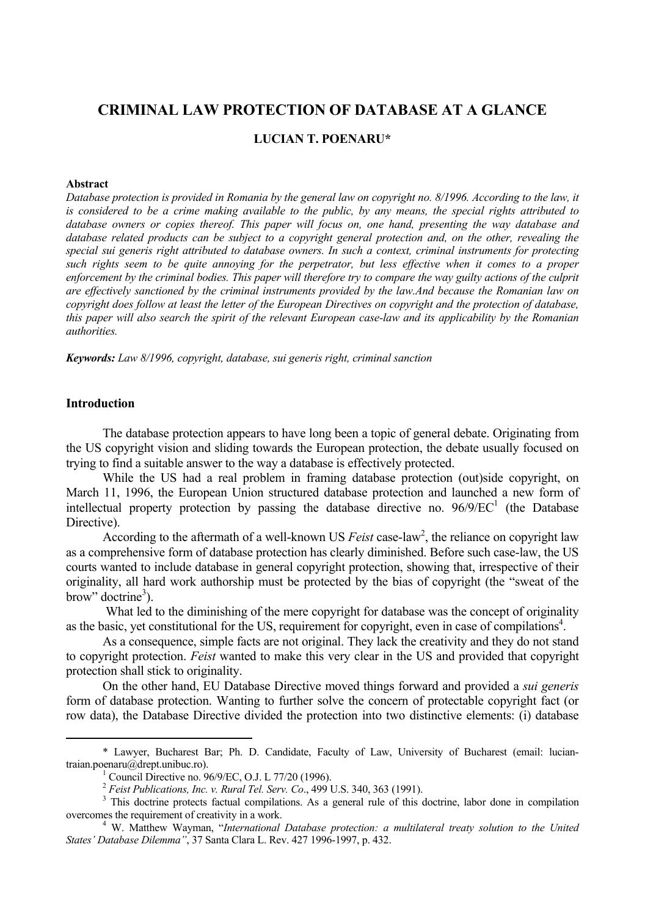# **CRIMINAL LAW PROTECTION OF DATABASE AT A GLANCE**

## **LUCIAN T. POENARU\***

### **Abstract**

*Database protection is provided in Romania by the general law on copyright no. 8/1996. According to the law, it is considered to be a crime making available to the public, by any means, the special rights attributed to database owners or copies thereof. This paper will focus on, one hand, presenting the way database and database related products can be subject to a copyright general protection and, on the other, revealing the special sui generis right attributed to database owners. In such a context, criminal instruments for protecting such rights seem to be quite annoying for the perpetrator, but less effective when it comes to a proper*  enforcement by the criminal bodies. This paper will therefore try to compare the way guilty actions of the culprit *are effectively sanctioned by the criminal instruments provided by the law.And because the Romanian law on copyright does follow at least the letter of the European Directives on copyright and the protection of database, this paper will also search the spirit of the relevant European case-law and its applicability by the Romanian authorities.* 

*Keywords: Law 8/1996, copyright, database, sui generis right, criminal sanction* 

### **Introduction**

The database protection appears to have long been a topic of general debate. Originating from the US copyright vision and sliding towards the European protection, the debate usually focused on trying to find a suitable answer to the way a database is effectively protected.

While the US had a real problem in framing database protection (out)side copyright, on March 11, 1996, the European Union structured database protection and launched a new form of intellectual property protection by passing the database directive no.  $96/9/EC<sup>1</sup>$  (the Database Directive).

According to the aftermath of a well-known US *Feist* case-law<sup>2</sup>, the reliance on copyright law as a comprehensive form of database protection has clearly diminished. Before such case-law, the US courts wanted to include database in general copyright protection, showing that, irrespective of their originality, all hard work authorship must be protected by the bias of copyright (the "sweat of the brow" doctrine<sup>3</sup>).

What led to the diminishing of the mere copyright for database was the concept of originality as the basic, yet constitutional for the US, requirement for copyright, even in case of compilations<sup>4</sup>.

As a consequence, simple facts are not original. They lack the creativity and they do not stand to copyright protection. *Feist* wanted to make this very clear in the US and provided that copyright protection shall stick to originality.

On the other hand, EU Database Directive moved things forward and provided a *sui generis* form of database protection. Wanting to further solve the concern of protectable copyright fact (or row data), the Database Directive divided the protection into two distinctive elements: (i) database

 <sup>\*</sup> Lawyer, Bucharest Bar; Ph. D. Candidate, Faculty of Law, University of Bucharest (email: luciantraian.poenaru@drept.unibuc.ro).<br><sup>1</sup> Council Directive no. 96/9/EC, O.J. L 77/20 (1996).

<sup>&</sup>lt;sup>2</sup> Feist Publications, Inc. v. Rural Tel. Serv. Co., 499 U.S. 340, 363 (1991).

<sup>&</sup>lt;sup>3</sup> This doctrine protects factual compilations. As a general rule of this doctrine, labor done in compilation overcomes the requirement of creativity in a work. 4

W. Matthew Wayman, "*International Database protection: a multilateral treaty solution to the United States' Database Dilemma"*, 37 Santa Clara L. Rev. 427 1996-1997, p. 432.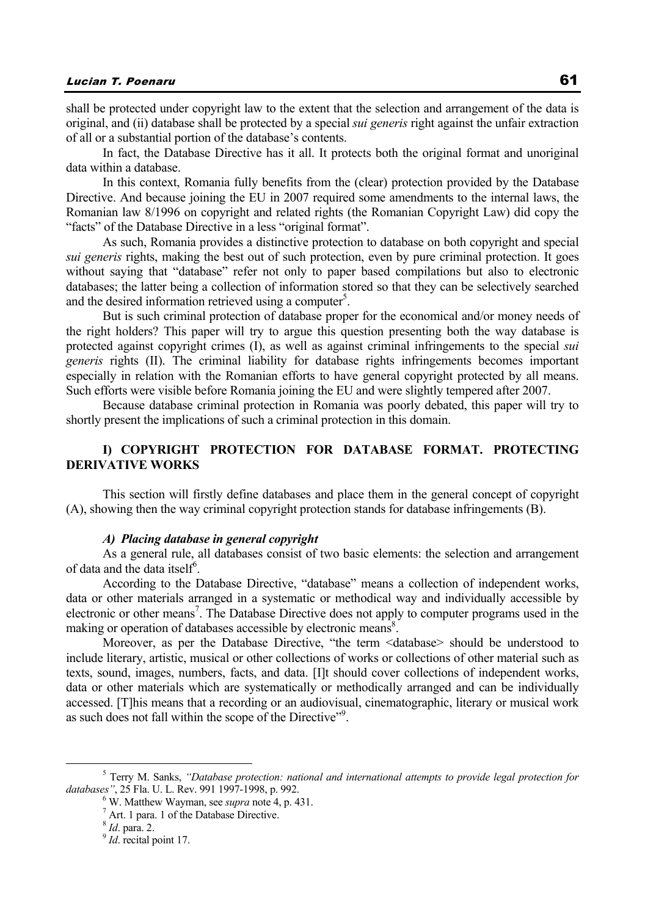shall be protected under copyright law to the extent that the selection and arrangement of the data is original, and (ii) database shall be protected by a special *sui generis* right against the unfair extraction of all or a substantial portion of the database's contents.

In fact, the Database Directive has it all. It protects both the original format and unoriginal data within a database.

In this context, Romania fully benefits from the (clear) protection provided by the Database Directive. And because joining the EU in 2007 required some amendments to the internal laws, the Romanian law 8/1996 on copyright and related rights (the Romanian Copyright Law) did copy the "facts" of the Database Directive in a less "original format".

As such, Romania provides a distinctive protection to database on both copyright and special *sui generis* rights, making the best out of such protection, even by pure criminal protection. It goes without saying that "database" refer not only to paper based compilations but also to electronic databases; the latter being a collection of information stored so that they can be selectively searched and the desired information retrieved using a computer<sup>5</sup>.

But is such criminal protection of database proper for the economical and/or money needs of the right holders? This paper will try to argue this question presenting both the way database is protected against copyright crimes (I), as well as against criminal infringements to the special *sui generis* rights (II). The criminal liability for database rights infringements becomes important especially in relation with the Romanian efforts to have general copyright protected by all means. Such efforts were visible before Romania joining the EU and were slightly tempered after 2007.

Because database criminal protection in Romania was poorly debated, this paper will try to shortly present the implications of such a criminal protection in this domain.

# **I) COPYRIGHT PROTECTION FOR DATABASE FORMAT. PROTECTING DERIVATIVE WORKS**

This section will firstly define databases and place them in the general concept of copyright (A), showing then the way criminal copyright protection stands for database infringements (B).

### *A) Placing database in general copyright*

As a general rule, all databases consist of two basic elements: the selection and arrangement of data and the data itself<sup>6</sup>.

According to the Database Directive, "database" means a collection of independent works, data or other materials arranged in a systematic or methodical way and individually accessible by electronic or other means<sup>7</sup>. The Database Directive does not apply to computer programs used in the making or operation of databases accessible by electronic means<sup>8</sup>.

Moreover, as per the Database Directive, "the term <database> should be understood to include literary, artistic, musical or other collections of works or collections of other material such as texts, sound, images, numbers, facts, and data. [I]t should cover collections of independent works, data or other materials which are systematically or methodically arranged and can be individually accessed. [T]his means that a recording or an audiovisual, cinematographic, literary or musical work as such does not fall within the scope of the Directive"<sup>9</sup>.

 $rac{1}{5}$  Terry M. Sanks, *"Database protection: national and international attempts to provide legal protection for databases"*, 25 Fla. U. L. Rev. 991 1997-1998, p. 992. 6

W. Matthew Wayman, see *supra* note 4, p. 431. 7

 $^7$  Art. 1 para. 1 of the Database Directive.

<sup>&</sup>lt;sup>8</sup> *Id.* para. 2.

<sup>&</sup>lt;sup>9</sup> *Id.* recital point 17.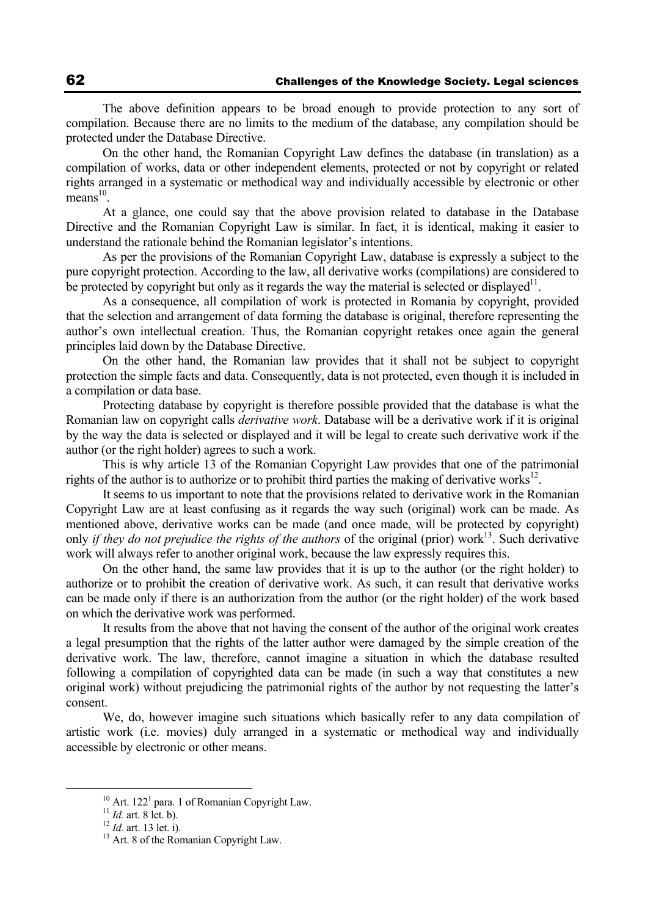The above definition appears to be broad enough to provide protection to any sort of compilation. Because there are no limits to the medium of the database, any compilation should be protected under the Database Directive.

On the other hand, the Romanian Copyright Law defines the database (in translation) as a compilation of works, data or other independent elements, protected or not by copyright or related rights arranged in a systematic or methodical way and individually accessible by electronic or other  $means<sup>10</sup>$ 

At a glance, one could say that the above provision related to database in the Database Directive and the Romanian Copyright Law is similar. In fact, it is identical, making it easier to understand the rationale behind the Romanian legislator's intentions.

As per the provisions of the Romanian Copyright Law, database is expressly a subject to the pure copyright protection. According to the law, all derivative works (compilations) are considered to be protected by copyright but only as it regards the way the material is selected or displayed<sup>11</sup>.

As a consequence, all compilation of work is protected in Romania by copyright, provided that the selection and arrangement of data forming the database is original, therefore representing the author's own intellectual creation. Thus, the Romanian copyright retakes once again the general principles laid down by the Database Directive.

On the other hand, the Romanian law provides that it shall not be subject to copyright protection the simple facts and data. Consequently, data is not protected, even though it is included in a compilation or data base.

Protecting database by copyright is therefore possible provided that the database is what the Romanian law on copyright calls *derivative work*. Database will be a derivative work if it is original by the way the data is selected or displayed and it will be legal to create such derivative work if the author (or the right holder) agrees to such a work.

This is why article 13 of the Romanian Copyright Law provides that one of the patrimonial rights of the authorize or to prohibit third parties the making of derivative works<sup>12</sup>.

It seems to us important to note that the provisions related to derivative work in the Romanian Copyright Law are at least confusing as it regards the way such (original) work can be made. As mentioned above, derivative works can be made (and once made, will be protected by copyright) only *if they do not prejudice the rights of the authors* of the original (prior) work<sup>13</sup>. Such derivative work will always refer to another original work, because the law expressly requires this.

On the other hand, the same law provides that it is up to the author (or the right holder) to authorize or to prohibit the creation of derivative work. As such, it can result that derivative works can be made only if there is an authorization from the author (or the right holder) of the work based on which the derivative work was performed.

It results from the above that not having the consent of the author of the original work creates a legal presumption that the rights of the latter author were damaged by the simple creation of the derivative work. The law, therefore, cannot imagine a situation in which the database resulted following a compilation of copyrighted data can be made (in such a way that constitutes a new original work) without prejudicing the patrimonial rights of the author by not requesting the latter's consent.

We, do, however imagine such situations which basically refer to any data compilation of artistic work (i.e. movies) duly arranged in a systematic or methodical way and individually accessible by electronic or other means.

<sup>&</sup>lt;sup>10</sup> Art. 122<sup>1</sup> para. 1 of Romanian Copyright Law.<br><sup>11</sup> *Id.* art. 8 let. b).

<sup>&</sup>lt;sup>12</sup> *Id.* art. 13 let. i). <sup>13</sup> Art. 8 of the Romanian Copyright Law.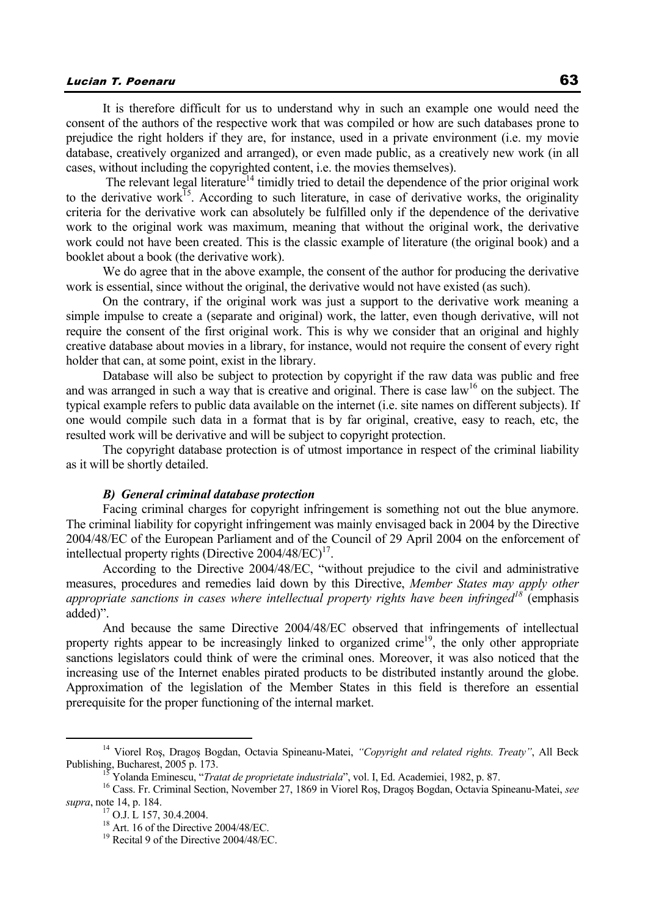# Lucian T. Poenaru 63

It is therefore difficult for us to understand why in such an example one would need the consent of the authors of the respective work that was compiled or how are such databases prone to prejudice the right holders if they are, for instance, used in a private environment (i.e. my movie database, creatively organized and arranged), or even made public, as a creatively new work (in all cases, without including the copyrighted content, i.e. the movies themselves).

The relevant legal literature<sup>14</sup> timidly tried to detail the dependence of the prior original work to the derivative work<sup>15</sup>. According to such literature, in case of derivative works, the originality criteria for the derivative work can absolutely be fulfilled only if the dependence of the derivative work to the original work was maximum, meaning that without the original work, the derivative work could not have been created. This is the classic example of literature (the original book) and a booklet about a book (the derivative work).

We do agree that in the above example, the consent of the author for producing the derivative work is essential, since without the original, the derivative would not have existed (as such).

On the contrary, if the original work was just a support to the derivative work meaning a simple impulse to create a (separate and original) work, the latter, even though derivative, will not require the consent of the first original work. This is why we consider that an original and highly creative database about movies in a library, for instance, would not require the consent of every right holder that can, at some point, exist in the library.

Database will also be subject to protection by copyright if the raw data was public and free and was arranged in such a way that is creative and original. There is case law<sup>16</sup> on the subject. The typical example refers to public data available on the internet (i.e. site names on different subjects). If one would compile such data in a format that is by far original, creative, easy to reach, etc, the resulted work will be derivative and will be subject to copyright protection.

The copyright database protection is of utmost importance in respect of the criminal liability as it will be shortly detailed.

#### *B) General criminal database protection*

Facing criminal charges for copyright infringement is something not out the blue anymore. The criminal liability for copyright infringement was mainly envisaged back in 2004 by the Directive 2004/48/EC of the European Parliament and of the Council of 29 April 2004 on the enforcement of intellectual property rights (Directive  $2004/48/EC$ )<sup>17</sup>.

According to the Directive 2004/48/EC, "without prejudice to the civil and administrative measures, procedures and remedies laid down by this Directive, *Member States may apply other appropriate sanctions in cases where intellectual property rights have been infringed<sup>18</sup>* (emphasis added)".

And because the same Directive 2004/48/EC observed that infringements of intellectual property rights appear to be increasingly linked to organized crime<sup>19</sup>, the only other appropriate sanctions legislators could think of were the criminal ones. Moreover, it was also noticed that the increasing use of the Internet enables pirated products to be distributed instantly around the globe. Approximation of the legislation of the Member States in this field is therefore an essential prerequisite for the proper functioning of the internal market.

 <sup>14</sup> Viorel Roş, Dragoş Bogdan, Octavia Spineanu-Matei, *"Copyright and related rights. Treaty"*, All Beck Publishing, Bucharest, 2005 p. 173.<br><sup>15</sup> Yolanda Eminescu, "*Tratat de proprietate industriala*", vol. I, Ed. Academiei, 1982, p. 87.<br><sup>16</sup> Cass. Fr. Criminal Section, November 27, 1869 in Viorel Roș, Dragoș Bogdan, Octavia

*supra*, note 14, p. 184.<br><sup>17</sup> O.J. L 157, 30.4.2004.

<sup>&</sup>lt;sup>18</sup> Art. 16 of the Directive 2004/48/EC.

<sup>&</sup>lt;sup>19</sup> Recital 9 of the Directive 2004/48/EC.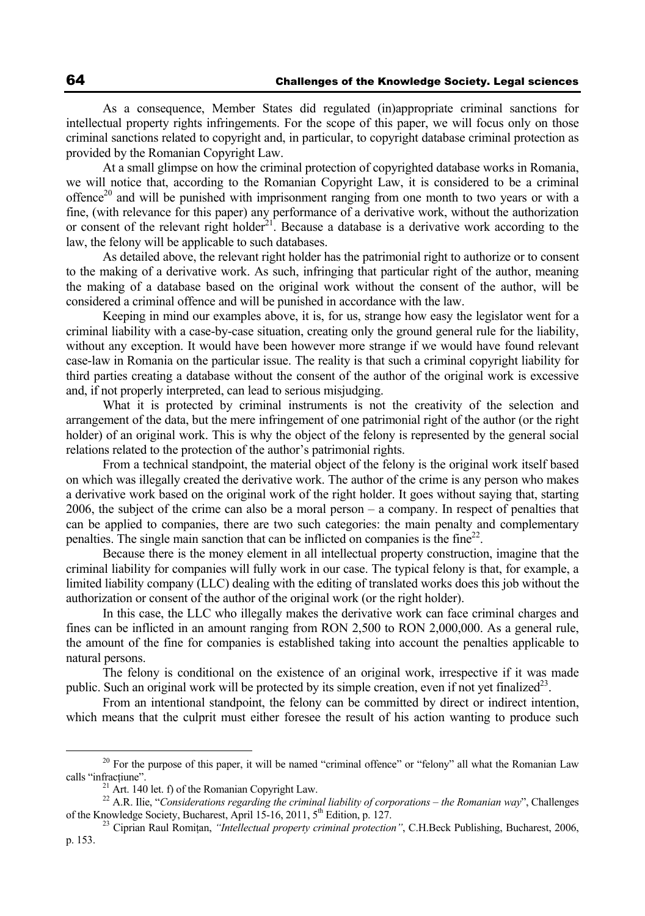As a consequence, Member States did regulated (in)appropriate criminal sanctions for intellectual property rights infringements. For the scope of this paper, we will focus only on those criminal sanctions related to copyright and, in particular, to copyright database criminal protection as provided by the Romanian Copyright Law.

At a small glimpse on how the criminal protection of copyrighted database works in Romania, we will notice that, according to the Romanian Copyright Law, it is considered to be a criminal offence<sup>20</sup> and will be punished with imprisonment ranging from one month to two years or with a fine, (with relevance for this paper) any performance of a derivative work, without the authorization or consent of the relevant right holder<sup>21</sup>. Because a database is a derivative work according to the law, the felony will be applicable to such databases.

As detailed above, the relevant right holder has the patrimonial right to authorize or to consent to the making of a derivative work. As such, infringing that particular right of the author, meaning the making of a database based on the original work without the consent of the author, will be considered a criminal offence and will be punished in accordance with the law.

Keeping in mind our examples above, it is, for us, strange how easy the legislator went for a criminal liability with a case-by-case situation, creating only the ground general rule for the liability, without any exception. It would have been however more strange if we would have found relevant case-law in Romania on the particular issue. The reality is that such a criminal copyright liability for third parties creating a database without the consent of the author of the original work is excessive and, if not properly interpreted, can lead to serious misjudging.

What it is protected by criminal instruments is not the creativity of the selection and arrangement of the data, but the mere infringement of one patrimonial right of the author (or the right holder) of an original work. This is why the object of the felony is represented by the general social relations related to the protection of the author's patrimonial rights.

From a technical standpoint, the material object of the felony is the original work itself based on which was illegally created the derivative work. The author of the crime is any person who makes a derivative work based on the original work of the right holder. It goes without saying that, starting 2006, the subject of the crime can also be a moral person – a company. In respect of penalties that can be applied to companies, there are two such categories: the main penalty and complementary penalties. The single main sanction that can be inflicted on companies is the fine<sup>22</sup>.

Because there is the money element in all intellectual property construction, imagine that the criminal liability for companies will fully work in our case. The typical felony is that, for example, a limited liability company (LLC) dealing with the editing of translated works does this job without the authorization or consent of the author of the original work (or the right holder).

In this case, the LLC who illegally makes the derivative work can face criminal charges and fines can be inflicted in an amount ranging from RON 2,500 to RON 2,000,000. As a general rule, the amount of the fine for companies is established taking into account the penalties applicable to natural persons.

The felony is conditional on the existence of an original work, irrespective if it was made public. Such an original work will be protected by its simple creation, even if not yet finalized<sup>23</sup>.

From an intentional standpoint, the felony can be committed by direct or indirect intention, which means that the culprit must either foresee the result of his action wanting to produce such

 $20$  For the purpose of this paper, it will be named "criminal offence" or "felony" all what the Romanian Law calls "infractiune".<br><sup>21</sup> Art. 140 let. f) of the Romanian Copyright Law.

<sup>&</sup>lt;sup>22</sup> A.R. Ilie, "*Considerations regarding the criminal liability of corporations – the Romanian way*", Challenges of the Knowledge Society, Bucharest, April 15-16, 2011,  $5<sup>th</sup>$  Edition, p. 127.

<sup>&</sup>lt;sup>23</sup> Ciprian Raul Romitan, *"Intellectual property criminal protection"*, C.H.Beck Publishing, Bucharest, 2006, p. 153.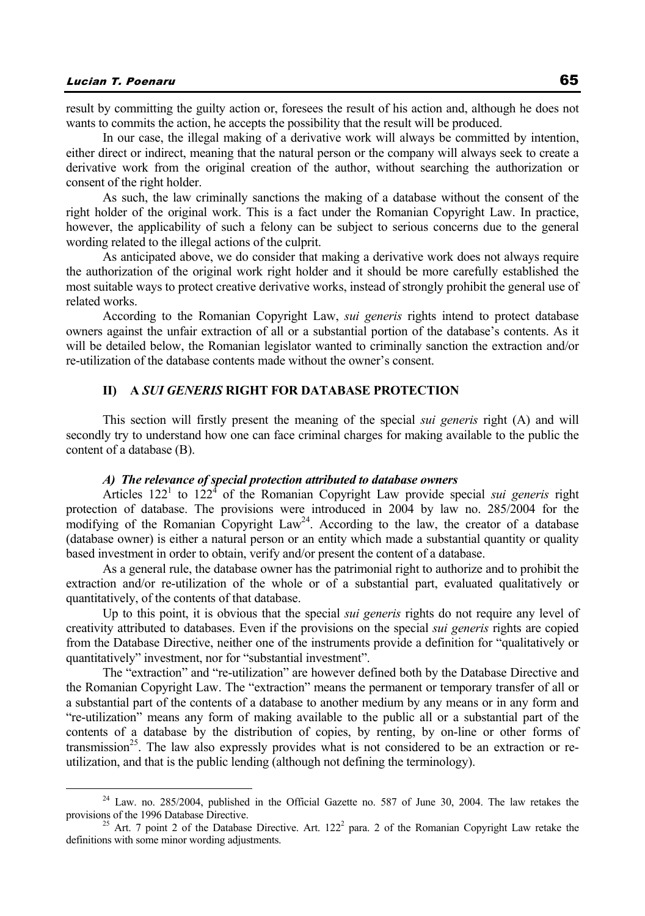result by committing the guilty action or, foresees the result of his action and, although he does not

wants to commits the action, he accepts the possibility that the result will be produced. In our case, the illegal making of a derivative work will always be committed by intention, either direct or indirect, meaning that the natural person or the company will always seek to create a derivative work from the original creation of the author, without searching the authorization or consent of the right holder.

As such, the law criminally sanctions the making of a database without the consent of the right holder of the original work. This is a fact under the Romanian Copyright Law. In practice, however, the applicability of such a felony can be subject to serious concerns due to the general wording related to the illegal actions of the culprit.

As anticipated above, we do consider that making a derivative work does not always require the authorization of the original work right holder and it should be more carefully established the most suitable ways to protect creative derivative works, instead of strongly prohibit the general use of related works.

According to the Romanian Copyright Law, *sui generis* rights intend to protect database owners against the unfair extraction of all or a substantial portion of the database's contents. As it will be detailed below, the Romanian legislator wanted to criminally sanction the extraction and/or re-utilization of the database contents made without the owner's consent.

### **II) A** *SUI GENERIS* **RIGHT FOR DATABASE PROTECTION**

This section will firstly present the meaning of the special *sui generis* right (A) and will secondly try to understand how one can face criminal charges for making available to the public the content of a database (B).

### *A) The relevance of special protection attributed to database owners*

Articles  $122<sup>1</sup>$  to  $122<sup>4</sup>$  of the Romanian Copyright Law provide special *sui generis* right protection of database. The provisions were introduced in 2004 by law no. 285/2004 for the modifying of the Romanian Copyright Law<sup>24</sup>. According to the law, the creator of a database (database owner) is either a natural person or an entity which made a substantial quantity or quality based investment in order to obtain, verify and/or present the content of a database.

As a general rule, the database owner has the patrimonial right to authorize and to prohibit the extraction and/or re-utilization of the whole or of a substantial part, evaluated qualitatively or quantitatively, of the contents of that database.

Up to this point, it is obvious that the special *sui generis* rights do not require any level of creativity attributed to databases. Even if the provisions on the special *sui generis* rights are copied from the Database Directive, neither one of the instruments provide a definition for "qualitatively or quantitatively" investment, nor for "substantial investment".

The "extraction" and "re-utilization" are however defined both by the Database Directive and the Romanian Copyright Law. The "extraction" means the permanent or temporary transfer of all or a substantial part of the contents of a database to another medium by any means or in any form and "re-utilization" means any form of making available to the public all or a substantial part of the contents of a database by the distribution of copies, by renting, by on-line or other forms of transmission<sup>25</sup>. The law also expressly provides what is not considered to be an extraction or reutilization, and that is the public lending (although not defining the terminology).

<sup>&</sup>lt;sup>24</sup> Law. no. 285/2004, published in the Official Gazette no. 587 of June 30, 2004. The law retakes the provisions of the 1996 Database Directive. provisions of the 1996 Database Directive.<br><sup>25</sup> Art. 7 point 2 of the Database Directive. Art. 122<sup>2</sup> para. 2 of the Romanian Copyright Law retake the

definitions with some minor wording adjustments.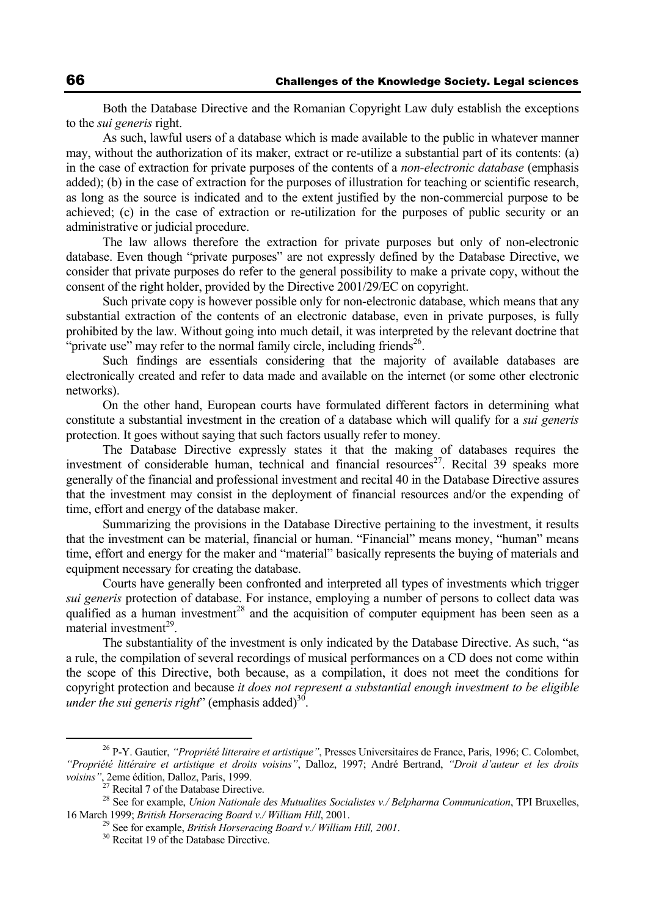Both the Database Directive and the Romanian Copyright Law duly establish the exceptions to the *sui generis* right.

As such, lawful users of a database which is made available to the public in whatever manner may, without the authorization of its maker, extract or re-utilize a substantial part of its contents: (a) in the case of extraction for private purposes of the contents of a *non-electronic database* (emphasis added); (b) in the case of extraction for the purposes of illustration for teaching or scientific research, as long as the source is indicated and to the extent justified by the non-commercial purpose to be achieved; (c) in the case of extraction or re-utilization for the purposes of public security or an administrative or judicial procedure.

The law allows therefore the extraction for private purposes but only of non-electronic database. Even though "private purposes" are not expressly defined by the Database Directive, we consider that private purposes do refer to the general possibility to make a private copy, without the consent of the right holder, provided by the Directive 2001/29/EC on copyright.

Such private copy is however possible only for non-electronic database, which means that any substantial extraction of the contents of an electronic database, even in private purposes, is fully prohibited by the law. Without going into much detail, it was interpreted by the relevant doctrine that "private use" may refer to the normal family circle, including friends<sup>26</sup>.

Such findings are essentials considering that the majority of available databases are electronically created and refer to data made and available on the internet (or some other electronic networks).

On the other hand, European courts have formulated different factors in determining what constitute a substantial investment in the creation of a database which will qualify for a *sui generis* protection. It goes without saying that such factors usually refer to money.

The Database Directive expressly states it that the making of databases requires the investment of considerable human, technical and financial resources<sup>27</sup>. Recital 39 speaks more generally of the financial and professional investment and recital 40 in the Database Directive assures that the investment may consist in the deployment of financial resources and/or the expending of time, effort and energy of the database maker.

Summarizing the provisions in the Database Directive pertaining to the investment, it results that the investment can be material, financial or human. "Financial" means money, "human" means time, effort and energy for the maker and "material" basically represents the buying of materials and equipment necessary for creating the database.

Courts have generally been confronted and interpreted all types of investments which trigger *sui generis* protection of database. For instance, employing a number of persons to collect data was qualified as a human investment<sup>28</sup> and the acquisition of computer equipment has been seen as a material investment $^{29}$ .

The substantiality of the investment is only indicated by the Database Directive. As such, "as a rule, the compilation of several recordings of musical performances on a CD does not come within the scope of this Directive, both because, as a compilation, it does not meet the conditions for copyright protection and because *it does not represent a substantial enough investment to be eligible under the sui generis right*" (emphasis added)<sup>30</sup>.

 <sup>26</sup> P-Y. Gautier, *"Propriété litteraire et artistique"*, Presses Universitaires de France, Paris, 1996; C. Colombet, *"Propriété littéraire et artistique et droits voisins"*, Dalloz, 1997; André Bertrand, *"Droit d'auteur et les droits voisins"*, 2eme édition, Dalloz, Paris, 1999.

<sup>&</sup>lt;sup>27</sup> Recital 7 of the Database Directive.

<sup>28</sup> See for example, *Union Nationale des Mutualites Socialistes v./ Belpharma Communication*, TPI Bruxelles, 16 March 1999; *British Horseracing Board v./ William Hill*, 2001.<br><sup>29</sup> See for example, *British Horseracing Board v./ William Hill*, 2001.<br><sup>30</sup> Recitat 19 of the Database Directive.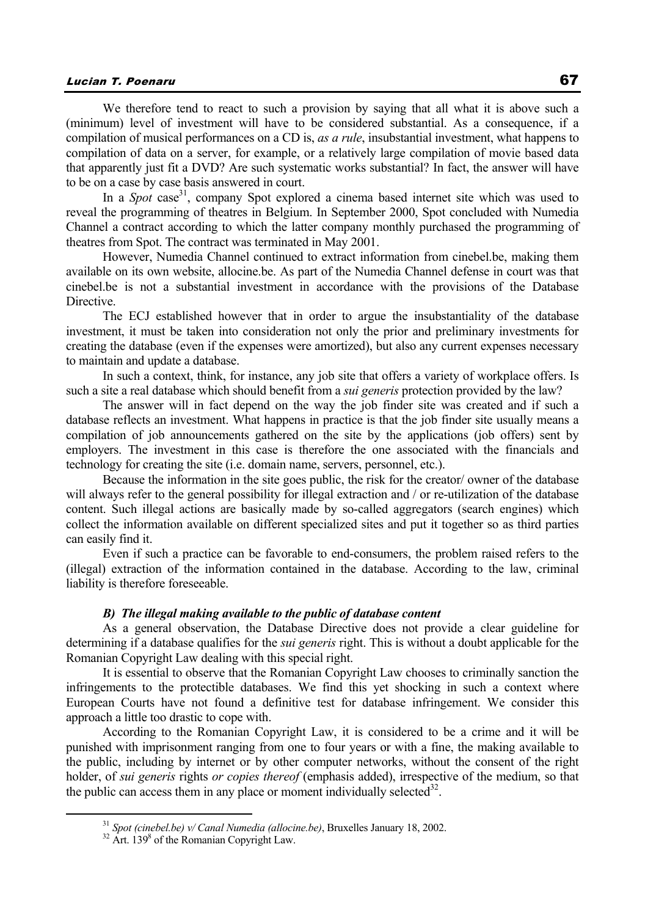# Lucian T. Poenaru 67

We therefore tend to react to such a provision by saying that all what it is above such a (minimum) level of investment will have to be considered substantial. As a consequence, if a compilation of musical performances on a CD is, *as a rule*, insubstantial investment, what happens to compilation of data on a server, for example, or a relatively large compilation of movie based data that apparently just fit a DVD? Are such systematic works substantial? In fact, the answer will have to be on a case by case basis answered in court.

In a *Spot* case<sup>31</sup>, company Spot explored a cinema based internet site which was used to reveal the programming of theatres in Belgium. In September 2000, Spot concluded with Numedia Channel a contract according to which the latter company monthly purchased the programming of theatres from Spot. The contract was terminated in May 2001.

However, Numedia Channel continued to extract information from cinebel.be, making them available on its own website, allocine.be. As part of the Numedia Channel defense in court was that cinebel.be is not a substantial investment in accordance with the provisions of the Database Directive.

The ECJ established however that in order to argue the insubstantiality of the database investment, it must be taken into consideration not only the prior and preliminary investments for creating the database (even if the expenses were amortized), but also any current expenses necessary to maintain and update a database.

In such a context, think, for instance, any job site that offers a variety of workplace offers. Is such a site a real database which should benefit from a *sui generis* protection provided by the law?

The answer will in fact depend on the way the job finder site was created and if such a database reflects an investment. What happens in practice is that the job finder site usually means a compilation of job announcements gathered on the site by the applications (job offers) sent by employers. The investment in this case is therefore the one associated with the financials and technology for creating the site (i.e. domain name, servers, personnel, etc.).

Because the information in the site goes public, the risk for the creator/ owner of the database will always refer to the general possibility for illegal extraction and / or re-utilization of the database content. Such illegal actions are basically made by so-called aggregators (search engines) which collect the information available on different specialized sites and put it together so as third parties can easily find it.

Even if such a practice can be favorable to end-consumers, the problem raised refers to the (illegal) extraction of the information contained in the database. According to the law, criminal liability is therefore foreseeable.

#### *B) The illegal making available to the public of database content*

As a general observation, the Database Directive does not provide a clear guideline for determining if a database qualifies for the *sui generis* right. This is without a doubt applicable for the Romanian Copyright Law dealing with this special right.

It is essential to observe that the Romanian Copyright Law chooses to criminally sanction the infringements to the protectible databases. We find this yet shocking in such a context where European Courts have not found a definitive test for database infringement. We consider this approach a little too drastic to cope with.

According to the Romanian Copyright Law, it is considered to be a crime and it will be punished with imprisonment ranging from one to four years or with a fine, the making available to the public, including by internet or by other computer networks, without the consent of the right holder, of *sui generis* rights *or copies thereof* (emphasis added), irrespective of the medium, so that the public can access them in any place or moment individually selected<sup>32</sup>.

 $31$  *Spot (cinebel.be) v/ Canal Numedia (allocine.be)*, Bruxelles January 18, 2002.

 $32$  Art. 139 $\text{8}$  of the Romanian Copyright Law.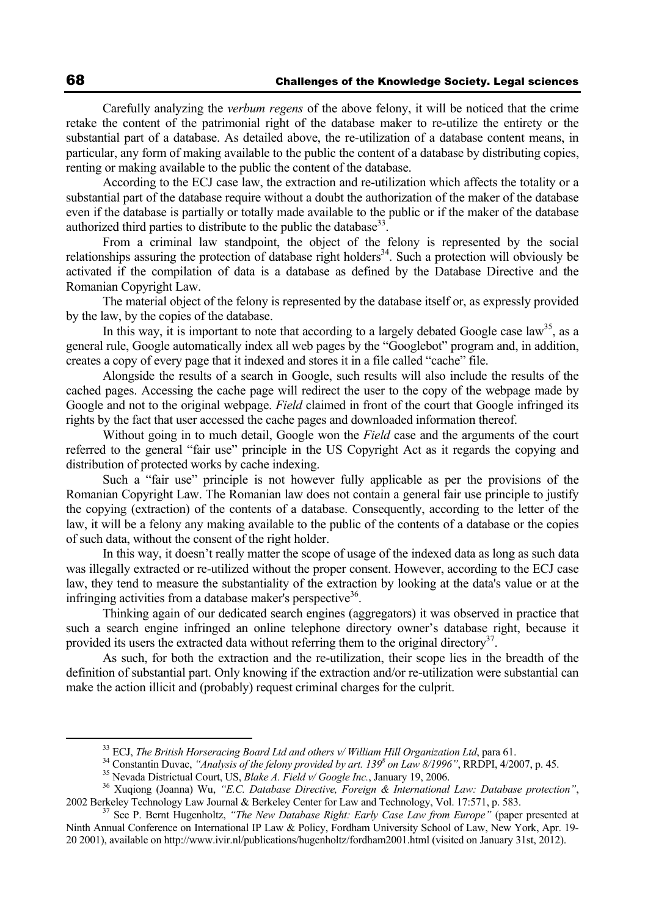Carefully analyzing the *verbum regens* of the above felony, it will be noticed that the crime retake the content of the patrimonial right of the database maker to re-utilize the entirety or the substantial part of a database. As detailed above, the re-utilization of a database content means, in particular, any form of making available to the public the content of a database by distributing copies, renting or making available to the public the content of the database.

According to the ECJ case law, the extraction and re-utilization which affects the totality or a substantial part of the database require without a doubt the authorization of the maker of the database even if the database is partially or totally made available to the public or if the maker of the database authorized third parties to distribute to the public the database<sup>33</sup>.

From a criminal law standpoint, the object of the felony is represented by the social relationships assuring the protection of database right holders<sup>34</sup>. Such a protection will obviously be activated if the compilation of data is a database as defined by the Database Directive and the Romanian Copyright Law.

The material object of the felony is represented by the database itself or, as expressly provided by the law, by the copies of the database.

In this way, it is important to note that according to a largely debated Google case law<sup>35</sup>, as a general rule, Google automatically index all web pages by the "Googlebot" program and, in addition, creates a copy of every page that it indexed and stores it in a file called "cache" file.

Alongside the results of a search in Google, such results will also include the results of the cached pages. Accessing the cache page will redirect the user to the copy of the webpage made by Google and not to the original webpage. *Field* claimed in front of the court that Google infringed its rights by the fact that user accessed the cache pages and downloaded information thereof.

Without going in to much detail, Google won the *Field* case and the arguments of the court referred to the general "fair use" principle in the US Copyright Act as it regards the copying and distribution of protected works by cache indexing.

Such a "fair use" principle is not however fully applicable as per the provisions of the Romanian Copyright Law. The Romanian law does not contain a general fair use principle to justify the copying (extraction) of the contents of a database. Consequently, according to the letter of the law, it will be a felony any making available to the public of the contents of a database or the copies of such data, without the consent of the right holder.

In this way, it doesn't really matter the scope of usage of the indexed data as long as such data was illegally extracted or re-utilized without the proper consent. However, according to the ECJ case law, they tend to measure the substantiality of the extraction by looking at the data's value or at the infringing activities from a database maker's perspective<sup>36</sup>.

Thinking again of our dedicated search engines (aggregators) it was observed in practice that such a search engine infringed an online telephone directory owner's database right, because it provided its users the extracted data without referring them to the original directory<sup>37</sup>.

As such, for both the extraction and the re-utilization, their scope lies in the breadth of the definition of substantial part. Only knowing if the extraction and/or re-utilization were substantial can make the action illicit and (probably) request criminal charges for the culprit.

<sup>&</sup>lt;sup>33</sup> ECJ, *The British Horseracing Board Ltd and others v/ William Hill Organization Ltd*, para 61.<br><sup>34</sup> Constantin Duvac, *"Analysis of the felony provided by art. 139<sup>8</sup> on Law 8/1996", RRDPI, 4/2007, p. 45.<br><sup>35</sup> Nevada* 

<sup>&</sup>lt;sup>36</sup> Xuqiong (Joanna) Wu, "E.C. Database Directive, Foreign & International Law: Database protection", 2002 Berkeley Technology Law Journal & Berkeley Center for Law and Technology, Vol. 17:571, p. 583. 37 See P. Bernt Hugenholtz, *"The New Database Right: Early Case Law from Europe"* (paper presented at

Ninth Annual Conference on International IP Law & Policy, Fordham University School of Law, New York, Apr. 19- 20 2001), available on http://www.ivir.nl/publications/hugenholtz/fordham2001.html (visited on January 31st, 2012).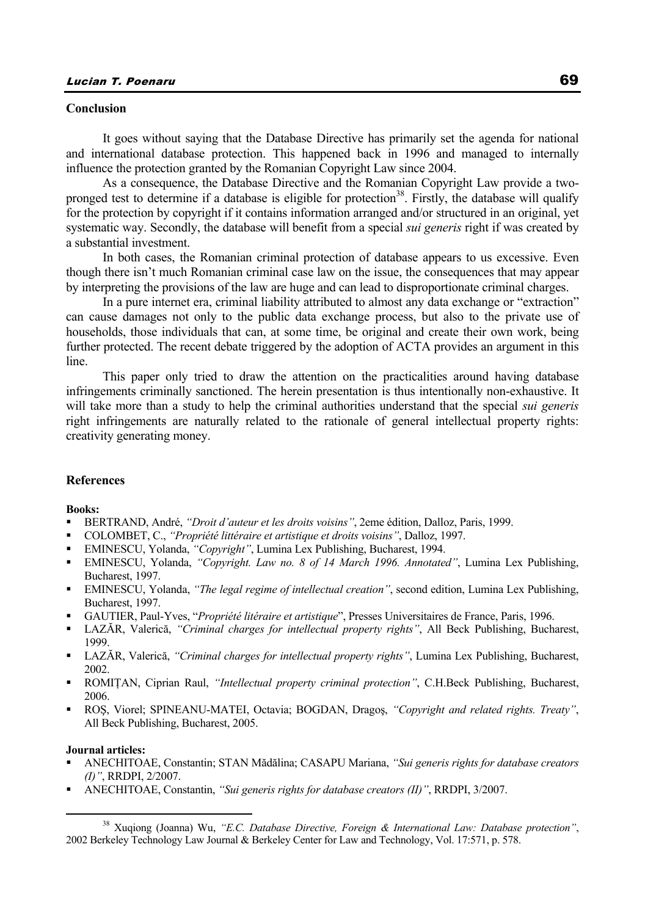### **Conclusion**

It goes without saying that the Database Directive has primarily set the agenda for national and international database protection. This happened back in 1996 and managed to internally influence the protection granted by the Romanian Copyright Law since 2004.

As a consequence, the Database Directive and the Romanian Copyright Law provide a twopronged test to determine if a database is eligible for protection<sup>38</sup>. Firstly, the database will qualify for the protection by copyright if it contains information arranged and/or structured in an original, yet systematic way. Secondly, the database will benefit from a special *sui generis* right if was created by a substantial investment.

In both cases, the Romanian criminal protection of database appears to us excessive. Even though there isn't much Romanian criminal case law on the issue, the consequences that may appear by interpreting the provisions of the law are huge and can lead to disproportionate criminal charges.

In a pure internet era, criminal liability attributed to almost any data exchange or "extraction" can cause damages not only to the public data exchange process, but also to the private use of households, those individuals that can, at some time, be original and create their own work, being further protected. The recent debate triggered by the adoption of ACTA provides an argument in this line.

This paper only tried to draw the attention on the practicalities around having database infringements criminally sanctioned. The herein presentation is thus intentionally non-exhaustive. It will take more than a study to help the criminal authorities understand that the special *sui generis* right infringements are naturally related to the rationale of general intellectual property rights: creativity generating money.

### **References**

#### **Books:**

- BERTRAND, André, *"Droit d'auteur et les droits voisins"*, 2eme édition, Dalloz, Paris, 1999.
- COLOMBET, C., *"Propriété littéraire et artistique et droits voisins"*, Dalloz, 1997.
- EMINESCU, Yolanda, *"Copyright"*, Lumina Lex Publishing, Bucharest, 1994.
- EMINESCU, Yolanda, *"Copyright. Law no. 8 of 14 March 1996. Annotated"*, Lumina Lex Publishing, Bucharest, 1997.
- EMINESCU, Yolanda, *"The legal regime of intellectual creation"*, second edition, Lumina Lex Publishing, Bucharest, 1997.
- GAUTIER, Paul-Yves, "*Propriété litéraire et artistique*", Presses Universitaires de France, Paris, 1996.
- LAZĂR, Valerică, *"Criminal charges for intellectual property rights"*, All Beck Publishing, Bucharest, 1999.
- LAZĂR, Valerică, *"Criminal charges for intellectual property rights"*, Lumina Lex Publishing, Bucharest, 2002.
- ROMIŢAN, Ciprian Raul, *"Intellectual property criminal protection"*, C.H.Beck Publishing, Bucharest, 2006.
- ROŞ, Viorel; SPINEANU-MATEI, Octavia; BOGDAN, Dragoş, *"Copyright and related rights. Treaty"*, All Beck Publishing, Bucharest, 2005.

#### **Journal articles:**

- ANECHITOAE, Constantin; STAN Mădălina; CASAPU Mariana, *"Sui generis rights for database creators (I)"*, RRDPI, 2/2007.
- ANECHITOAE, Constantin, *"Sui generis rights for database creators (II)"*, RRDPI, 3/2007.

 <sup>38</sup> Xuqiong (Joanna) Wu, *"E.C. Database Directive, Foreign & International Law: Database protection"*, 2002 Berkeley Technology Law Journal & Berkeley Center for Law and Technology, Vol. 17:571, p. 578.